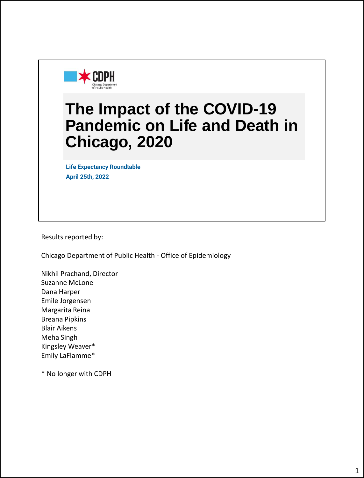

## **The Impact of the COVID-19 Pandemic on Life and Death in Chicago, 2020**

**Life Expectancy Roundtable April 25th, 2022**

Results reported by:

Chicago Department of Public Health - Office of Epidemiology

Nikhil Prachand, Director Suzanne McLone Dana Harper Emile Jorgensen Margarita Reina Breana Pipkins Blair Aikens Meha Singh Kingsley Weaver\* Emily LaFlamme\*

\* No longer with CDPH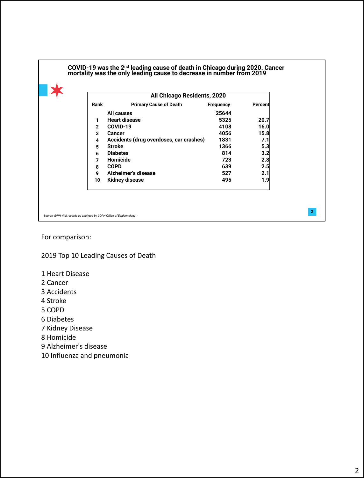|      | All Chicago Residents, 2020             |           |         |
|------|-----------------------------------------|-----------|---------|
| Rank | <b>Primary Cause of Death</b>           | Frequency | Percent |
|      | All causes                              | 25644     |         |
| 1    | <b>Heart disease</b>                    | 5325      | 20.7    |
| 2    | COVID-19                                | 4108      | 16.0    |
| 3    | Cancer                                  | 4056      | 15.8    |
| 4    | Accidents (drug overdoses, car crashes) | 1831      | 7.1     |
| 5    | <b>Stroke</b>                           | 1366      | 5.3     |
| 6    | <b>Diabetes</b>                         | 814       | 3.2     |
| 7    | Homicide                                | 723       | 2.8     |
| 8    | <b>COPD</b>                             | 639       | 2.5     |
| 9    | Alzheimer's disease                     | 527       | 2.1     |
| 10   | <b>Kidney disease</b>                   | 495       | 1.9     |

For comparison:

2019 Top 10 Leading Causes of Death

- 1 Heart Disease
- 2 Cancer
- 3 Accidents
- 4 Stroke
- 5 COPD
- 6 Diabetes
- 7 Kidney Disease
- 8 Homicide
- 9 Alzheimer's disease
- 10 Influenza and pneumonia

**2**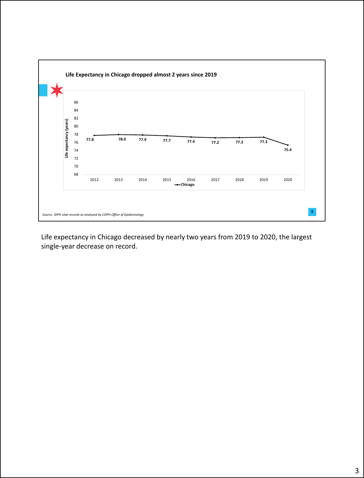

Life expectancy in Chicago decreased by nearly two years from 2019 to 2020, the largest single-year decrease on record.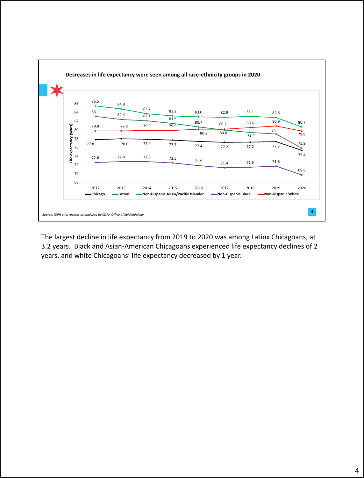

The largest decline in life expectancy from 2019 to 2020 was among Latinx Chicagoans, at 3.2 years. Black and Asian-American Chicagoans experienced life expectancy declines of 2 years, and white Chicagoans' life expectancy decreased by 1 year.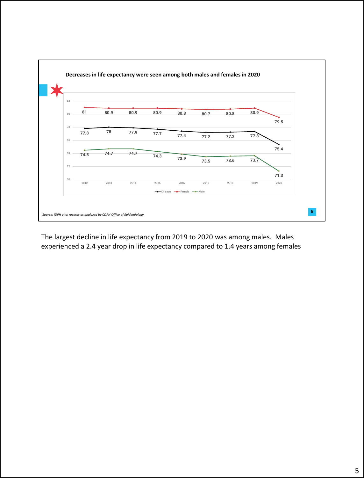

The largest decline in life expectancy from 2019 to 2020 was among males. Males experienced a 2.4 year drop in life expectancy compared to 1.4 years among females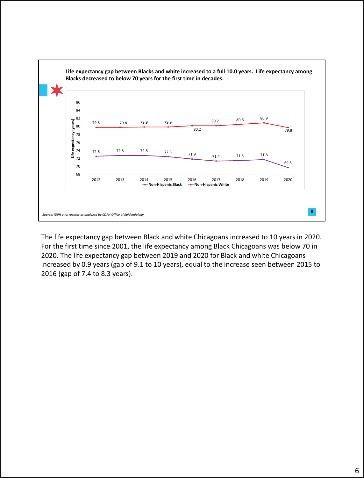

The life expectancy gap between Black and white Chicagoans increased to 10 years in 2020. For the first time since 2001, the life expectancy among Black Chicagoans was below 70 in 2020. The life expectancy gap between 2019 and 2020 for Black and white Chicagoans increased by 0.9 years (gap of 9.1 to 10 years), equal to the increase seen between 2015 to 2016 (gap of 7.4 to 8.3 years).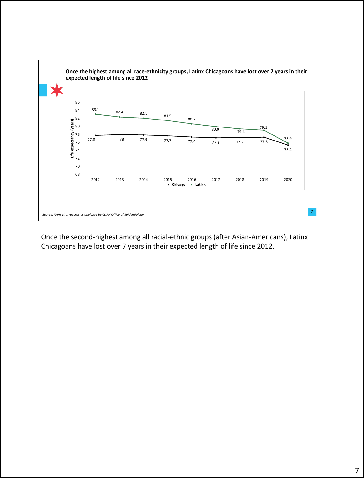

Once the second-highest among all racial-ethnic groups (after Asian-Americans), Latinx Chicagoans have lost over 7 years in their expected length of life since 2012.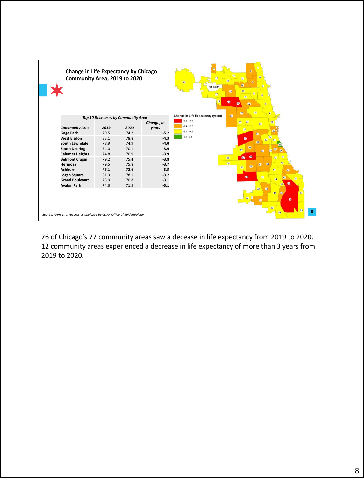| Change in Life Expectancy by Chicago<br>Community Area, 2019 to 2020  |      |                                    |                     | $\overline{2}$<br>77<br>13<br>10<br>11<br>76<br>$\mathbf{a}$<br>$\boldsymbol{u}$<br>$\sqrt{3}$<br>not in city<br>16<br>15<br>17<br>21<br>18<br><b>D</b><br>ை<br>22<br>$\overline{7}$<br>24<br>23 |  |  |  |  |
|-----------------------------------------------------------------------|------|------------------------------------|---------------------|--------------------------------------------------------------------------------------------------------------------------------------------------------------------------------------------------|--|--|--|--|
|                                                                       |      | Top 10 Decreases by Community Area |                     | 25<br><b>Change in Life Expectancy (years)</b>                                                                                                                                                   |  |  |  |  |
| <b>Community Area</b>                                                 | 2019 | 2020                               | Change, in<br>years | $-5.2 - 3.5$<br>26 27<br>32<br>28<br>$-3.4 - -2.2$                                                                                                                                               |  |  |  |  |
| <b>Gage Park</b>                                                      | 79.5 | 74.2                               | $-5.2$              | 29<br>33<br>$-2.1 - 0.2$<br>61                                                                                                                                                                   |  |  |  |  |
| <b>West Elsdon</b>                                                    | 83.1 | 78.8                               | $-4.3$              | $-0.1 - 0.3$<br>34<br>$\circledcirc$<br>60                                                                                                                                                       |  |  |  |  |
| <b>South Lawndale</b>                                                 | 78.9 | 74.9                               | $-4.0$              | 69                                                                                                                                                                                               |  |  |  |  |
| <b>South Deering</b>                                                  | 74.0 | 70.1                               | $-3.9$              | 58<br>38<br>57                                                                                                                                                                                   |  |  |  |  |
| <b>Calumet Heights</b>                                                | 74.8 | 70.9                               | $-3.9$              | 61<br>$\overline{37}$<br>39                                                                                                                                                                      |  |  |  |  |
| <b>Belmont Cragin</b>                                                 | 79.2 | 75.4                               | $-3.8$              | $\circledR$<br>$\overline{A}$<br>56<br>$\alpha$<br>40                                                                                                                                            |  |  |  |  |
| Hermosa                                                               | 79.5 | 75.8                               | $-3.7$              | 64<br>42<br>68<br>67<br>66                                                                                                                                                                       |  |  |  |  |
| <b>Ashburn</b>                                                        | 76.1 | 72.6                               | $-3.5$              | 65<br>69<br>43                                                                                                                                                                                   |  |  |  |  |
| <b>Logan Square</b>                                                   | 81.3 | 78.1                               | $-3.2$              | 71<br>$\boldsymbol{\overline{w}}$                                                                                                                                                                |  |  |  |  |
| <b>Grand Boulevard</b>                                                | 73.9 | 70.8                               | $-3.1$              | 45<br>44                                                                                                                                                                                         |  |  |  |  |
| <b>Avalon Park</b>                                                    | 74.6 | 71.5                               | $-3.1$              | $\bigcirc$<br>47<br>73<br>72                                                                                                                                                                     |  |  |  |  |
| Source: IDPH vital records as analyzed by CDPH Office of Epidemiology |      |                                    |                     | 49<br>50<br>52<br>60<br>75<br>53<br>55<br>8                                                                                                                                                      |  |  |  |  |

76 of Chicago's 77 community areas saw a decease in life expectancy from 2019 to 2020. 12 community areas experienced a decrease in life expectancy of more than 3 years from 2019 to 2020.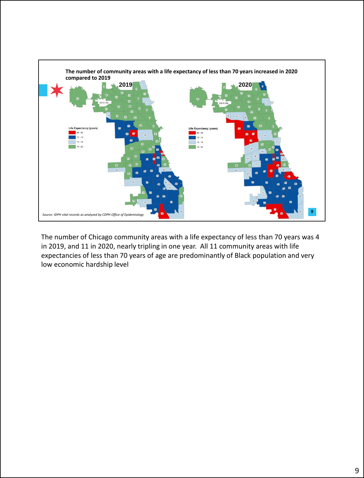

The number of Chicago community areas with a life expectancy of less than 70 years was 4 in 2019, and 11 in 2020, nearly tripling in one year. All 11 community areas with life expectancies of less than 70 years of age are predominantly of Black population and very low economic hardship level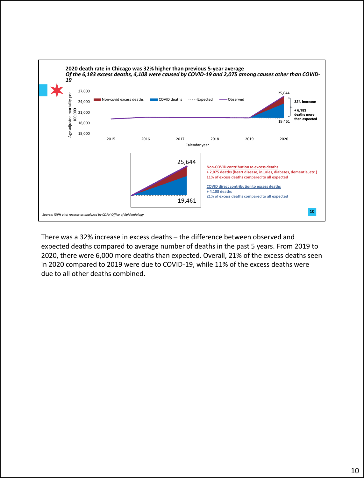

There was a 32% increase in excess deaths – the difference between observed and expected deaths compared to average number of deaths in the past 5 years. From 2019 to 2020, there were 6,000 more deaths than expected. Overall, 21% of the excess deaths seen in 2020 compared to 2019 were due to COVID-19, while 11% of the excess deaths were due to all other deaths combined.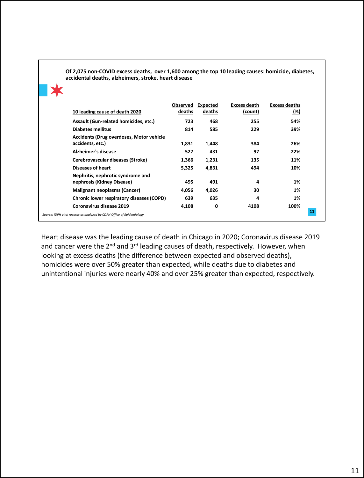| 10 leading cause of death 2020                                      | Observed<br>deaths | Expected<br>deaths | <b>Excess death</b><br>(count) | <b>Excess deaths</b><br><u>(%)</u> |
|---------------------------------------------------------------------|--------------------|--------------------|--------------------------------|------------------------------------|
| Assault (Gun-related homicides, etc.)                               | 723                | 468                | 255                            | 54%                                |
| <b>Diabetes mellitus</b>                                            | 814                | 585                | 229                            | 39%                                |
| <b>Accidents (Drug overdoses, Motor vehicle</b><br>accidents, etc.) | 1,831              | 1,448              | 384                            | 26%                                |
| Alzheimer's disease                                                 | 527                | 431                | 97                             | 22%                                |
| Cerebrovascular diseases (Stroke)                                   | 1,366              | 1,231              | 135                            | 11%                                |
| <b>Diseases of heart</b>                                            | 5,325              | 4,831              | 494                            | 10%                                |
| Nephritis, nephrotic syndrome and<br>nephrosis (Kidney Disease)     | 495                | 491                | 4                              | 1%                                 |
| <b>Malignant neoplasms (Cancer)</b>                                 | 4,056              | 4,026              | 30                             | 1%                                 |
| Chronic lower respiratory diseases (COPD)                           | 639                | 635                | 4                              | 1%                                 |
| Coronavirus disease 2019                                            | 4,108              | 0                  | 4108                           | 100%                               |

**Of 2,075 non-COVID excess deaths, over 1,600 among the top 10 leading causes: homicide, diabetes, accidental deaths, alzheimers, stroke, heart disease**

## Heart disease was the leading cause of death in Chicago in 2020; Coronavirus disease 2019 and cancer were the  $2^{nd}$  and  $3^{rd}$  leading causes of death, respectively. However, when looking at excess deaths (the difference between expected and observed deaths), homicides were over 50% greater than expected, while deaths due to diabetes and unintentional injuries were nearly 40% and over 25% greater than expected, respectively.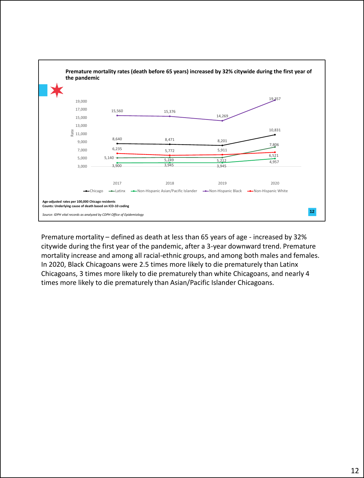

Premature mortality – defined as death at less than 65 years of age - increased by 32% citywide during the first year of the pandemic, after a 3-year downward trend. Premature mortality increase and among all racial-ethnic groups, and among both males and females. In 2020, Black Chicagoans were 2.5 times more likely to die prematurely than Latinx Chicagoans, 3 times more likely to die prematurely than white Chicagoans, and nearly 4 times more likely to die prematurely than Asian/Pacific Islander Chicagoans.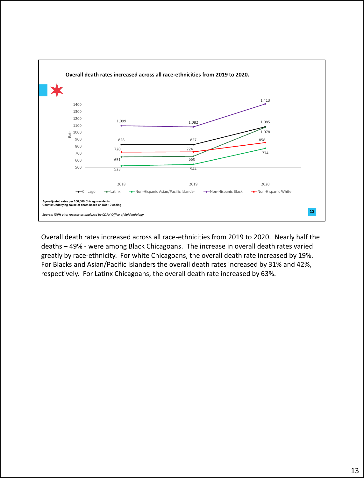

Overall death rates increased across all race-ethnicities from 2019 to 2020. Nearly half the deaths – 49% - were among Black Chicagoans. The increase in overall death rates varied greatly by race-ethnicity. For white Chicagoans, the overall death rate increased by 19%. For Blacks and Asian/Pacific Islanders the overall death rates increased by 31% and 42%, respectively. For Latinx Chicagoans, the overall death rate increased by 63%.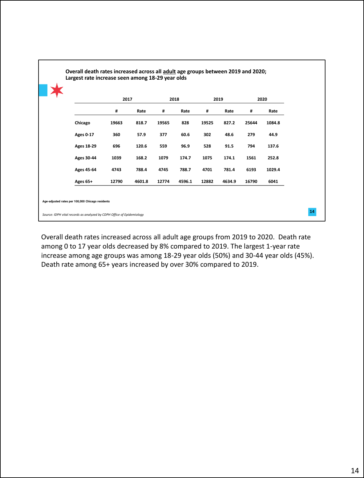|                  | 2017  |        | 2018  |        | 2019  |        | 2020  |        |
|------------------|-------|--------|-------|--------|-------|--------|-------|--------|
|                  | #     | Rate   | #     | Rate   | #     | Rate   | #     | Rate   |
| Chicago          | 19663 | 818.7  | 19565 | 828    | 19525 | 827.2  | 25644 | 1084.8 |
| <b>Ages 0-17</b> | 360   | 57.9   | 377   | 60.6   | 302   | 48.6   | 279   | 44.9   |
| Ages 18-29       | 696   | 120.6  | 559   | 96.9   | 528   | 91.5   | 794   | 137.6  |
| Ages 30-44       | 1039  | 168.2  | 1079  | 174.7  | 1075  | 174.1  | 1561  | 252.8  |
| Ages 45-64       | 4743  | 788.4  | 4745  | 788.7  | 4701  | 781.4  | 6193  | 1029.4 |
| Ages 65+         | 12790 | 4601.8 | 12774 | 4596.1 | 12882 | 4634.9 | 16790 | 6041   |

L

Overall death rates increased across all adult age groups from 2019 to 2020. Death rate among 0 to 17 year olds decreased by 8% compared to 2019. The largest 1-year rate increase among age groups was among 18-29 year olds (50%) and 30-44 year olds (45%). Death rate among 65+ years increased by over 30% compared to 2019.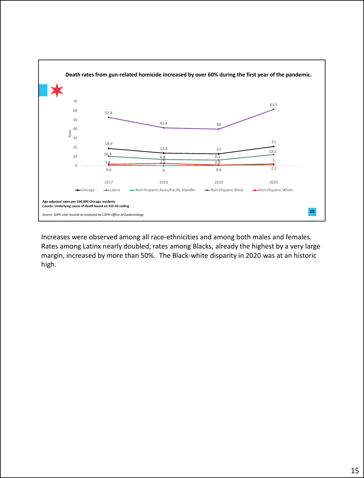

Increases were observed among all race-ethnicities and among both males and females. Rates among Latinx nearly doubled; rates among Blacks, already the highest by a very large margin, increased by more than 50%. The Black-white disparity in 2020 was at an historic high.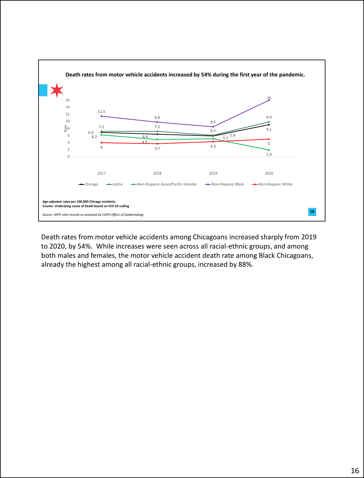

Death rates from motor vehicle accidents among Chicagoans increased sharply from 2019 to 2020, by 54%. While increases were seen across all racial-ethnic groups, and among both males and females, the motor vehicle accident death rate among Black Chicagoans, already the highest among all racial-ethnic groups, increased by 88%.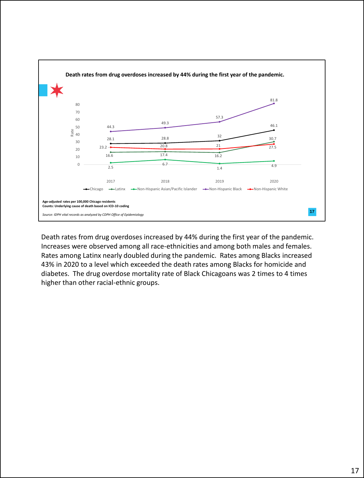

Death rates from drug overdoses increased by 44% during the first year of the pandemic. Increases were observed among all race-ethnicities and among both males and females. Rates among Latinx nearly doubled during the pandemic. Rates among Blacks increased 43% in 2020 to a level which exceeded the death rates among Blacks for homicide and diabetes. The drug overdose mortality rate of Black Chicagoans was 2 times to 4 times higher than other racial-ethnic groups.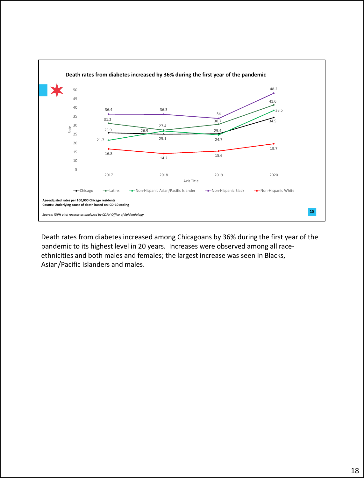

Death rates from diabetes increased among Chicagoans by 36% during the first year of the pandemic to its highest level in 20 years. Increases were observed among all raceethnicities and both males and females; the largest increase was seen in Blacks, Asian/Pacific Islanders and males.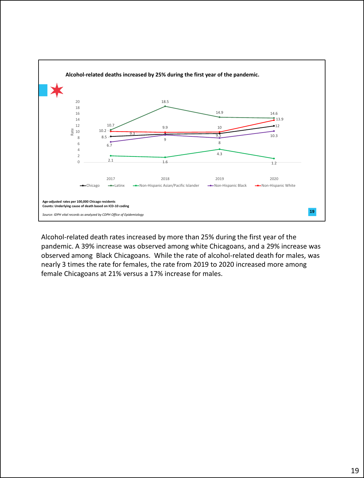

Alcohol-related death rates increased by more than 25% during the first year of the pandemic. A 39% increase was observed among white Chicagoans, and a 29% increase was observed among Black Chicagoans. While the rate of alcohol-related death for males, was nearly 3 times the rate for females, the rate from 2019 to 2020 increased more among female Chicagoans at 21% versus a 17% increase for males.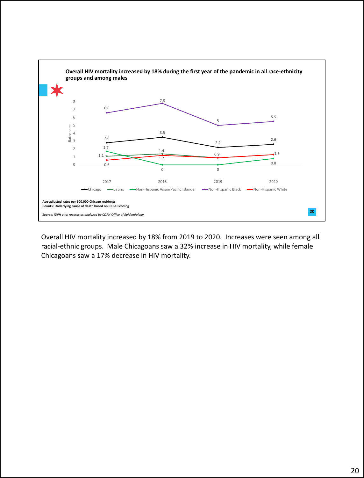

Overall HIV mortality increased by 18% from 2019 to 2020. Increases were seen among all racial-ethnic groups. Male Chicagoans saw a 32% increase in HIV mortality, while female Chicagoans saw a 17% decrease in HIV mortality.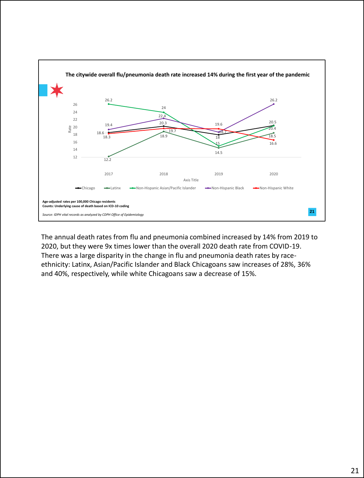

The annual death rates from flu and pneumonia combined increased by 14% from 2019 to 2020, but they were 9x times lower than the overall 2020 death rate from COVID-19. There was a large disparity in the change in flu and pneumonia death rates by raceethnicity: Latinx, Asian/Pacific Islander and Black Chicagoans saw increases of 28%, 36% and 40%, respectively, while white Chicagoans saw a decrease of 15%.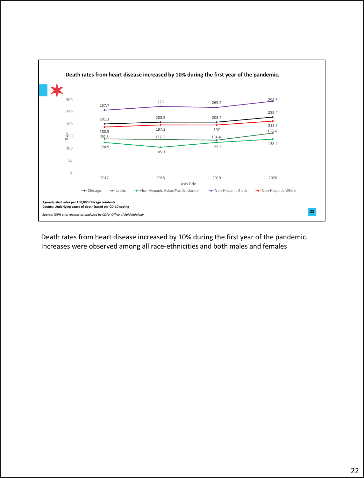

Death rates from heart disease increased by 10% during the first year of the pandemic. Increases were observed among all race-ethnicities and both males and females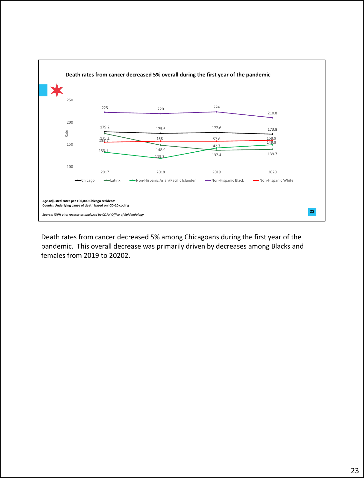

Death rates from cancer decreased 5% among Chicagoans during the first year of the pandemic. This overall decrease was primarily driven by decreases among Blacks and females from 2019 to 20202.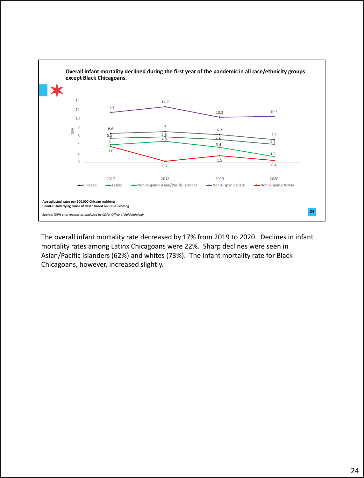

The overall infant mortality rate decreased by 17% from 2019 to 2020. Declines in infant mortality rates among Latinx Chicagoans were 22%. Sharp declines were seen in Asian/Pacific Islanders (62%) and whites (73%). The infant mortality rate for Black Chicagoans, however, increased slightly.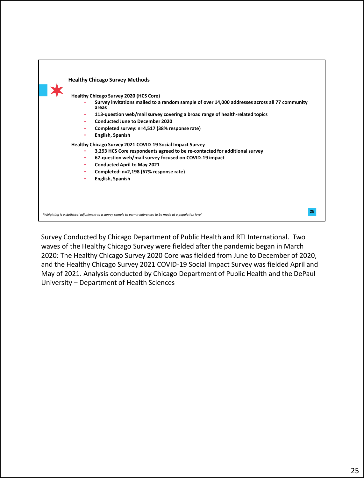

Survey Conducted by Chicago Department of Public Health and RTI International. Two waves of the Healthy Chicago Survey were fielded after the pandemic began in March 2020: The Healthy Chicago Survey 2020 Core was fielded from June to December of 2020, and the Healthy Chicago Survey 2021 COVID-19 Social Impact Survey was fielded April and May of 2021. Analysis conducted by Chicago Department of Public Health and the DePaul University – Department of Health Sciences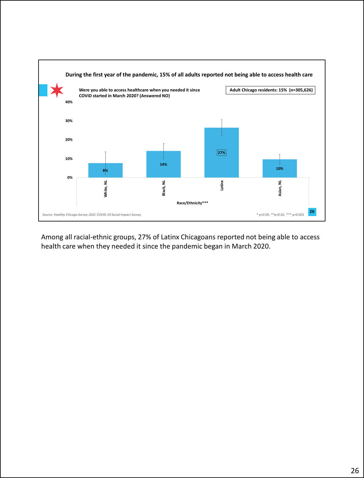

Among all racial-ethnic groups, 27% of Latinx Chicagoans reported not being able to access health care when they needed it since the pandemic began in March 2020.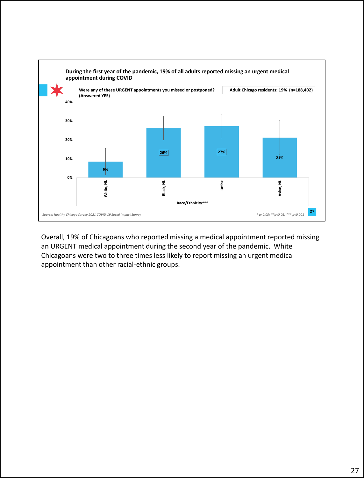

Overall, 19% of Chicagoans who reported missing a medical appointment reported missing an URGENT medical appointment during the second year of the pandemic. White Chicagoans were two to three times less likely to report missing an urgent medical appointment than other racial-ethnic groups.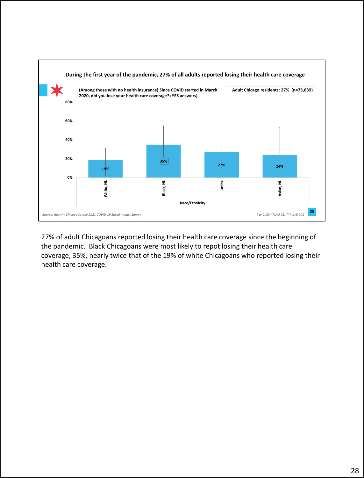

27% of adult Chicagoans reported losing their health care coverage since the beginning of the pandemic. Black Chicagoans were most likely to repot losing their health care coverage, 35%, nearly twice that of the 19% of white Chicagoans who reported losing their health care coverage.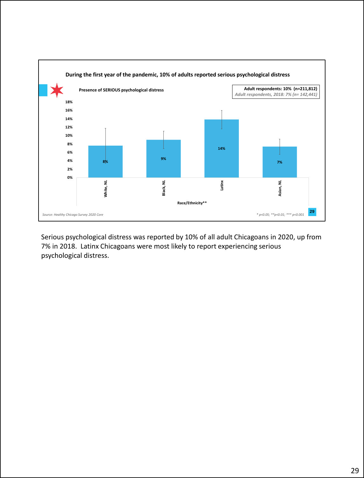

Serious psychological distress was reported by 10% of all adult Chicagoans in 2020, up from 7% in 2018. Latinx Chicagoans were most likely to report experiencing serious psychological distress.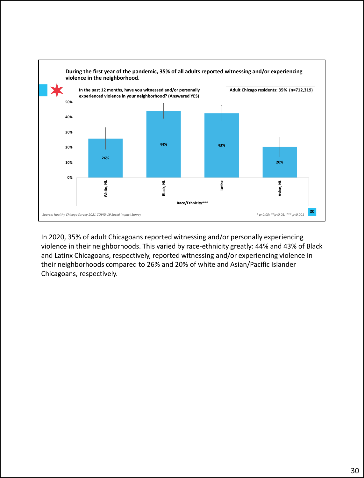

In 2020, 35% of adult Chicagoans reported witnessing and/or personally experiencing violence in their neighborhoods. This varied by race-ethnicity greatly: 44% and 43% of Black and Latinx Chicagoans, respectively, reported witnessing and/or experiencing violence in their neighborhoods compared to 26% and 20% of white and Asian/Pacific Islander Chicagoans, respectively.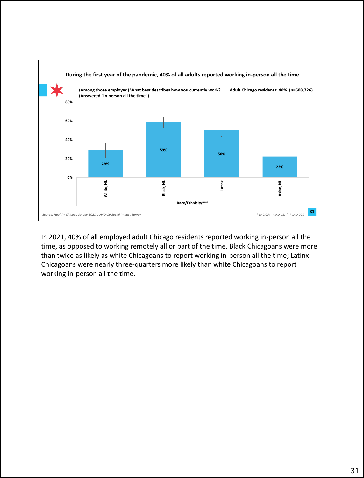

In 2021, 40% of all employed adult Chicago residents reported working in-person all the time, as opposed to working remotely all or part of the time. Black Chicagoans were more than twice as likely as white Chicagoans to report working in-person all the time; Latinx Chicagoans were nearly three-quarters more likely than white Chicagoans to report working in-person all the time.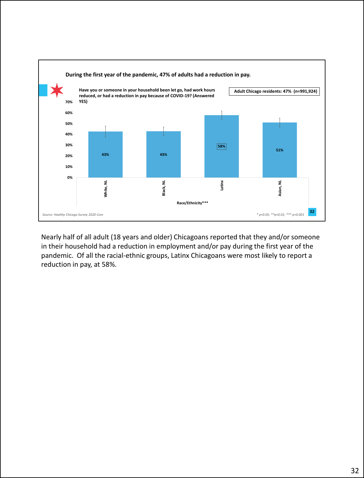

Nearly half of all adult (18 years and older) Chicagoans reported that they and/or someone in their household had a reduction in employment and/or pay during the first year of the pandemic. Of all the racial-ethnic groups, Latinx Chicagoans were most likely to report a reduction in pay, at 58%.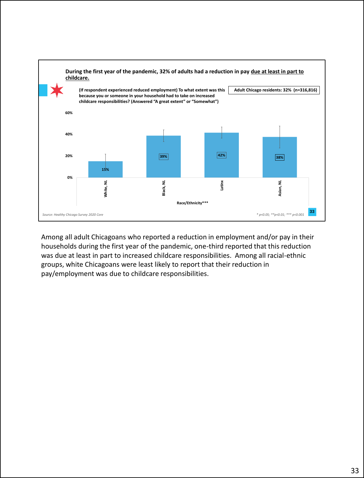

Among all adult Chicagoans who reported a reduction in employment and/or pay in their households during the first year of the pandemic, one-third reported that this reduction was due at least in part to increased childcare responsibilities. Among all racial-ethnic groups, white Chicagoans were least likely to report that their reduction in pay/employment was due to childcare responsibilities.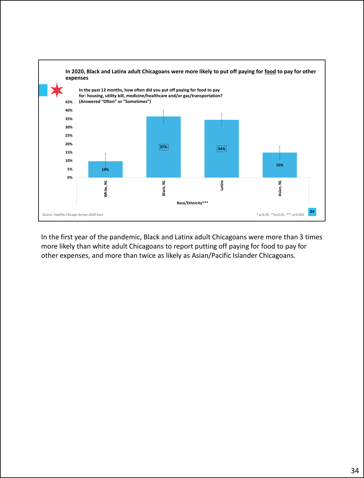

In the first year of the pandemic, Black and Latinx adult Chicagoans were more than 3 times more likely than white adult Chicagoans to report putting off paying for food to pay for other expenses, and more than twice as likely as Asian/Pacific Islander Chicagoans.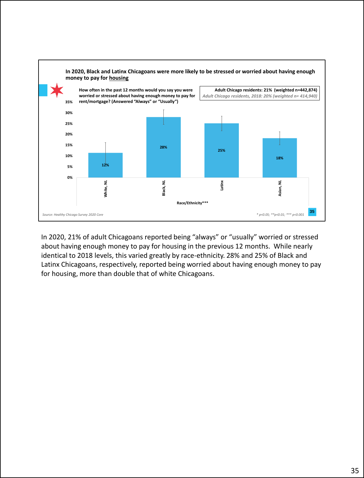

In 2020, 21% of adult Chicagoans reported being "always" or "usually" worried or stressed about having enough money to pay for housing in the previous 12 months. While nearly identical to 2018 levels, this varied greatly by race-ethnicity. 28% and 25% of Black and Latinx Chicagoans, respectively, reported being worried about having enough money to pay for housing, more than double that of white Chicagoans.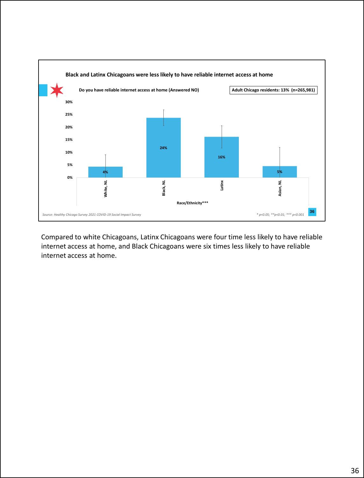

Compared to white Chicagoans, Latinx Chicagoans were four time less likely to have reliable internet access at home, and Black Chicagoans were six times less likely to have reliable internet access at home.